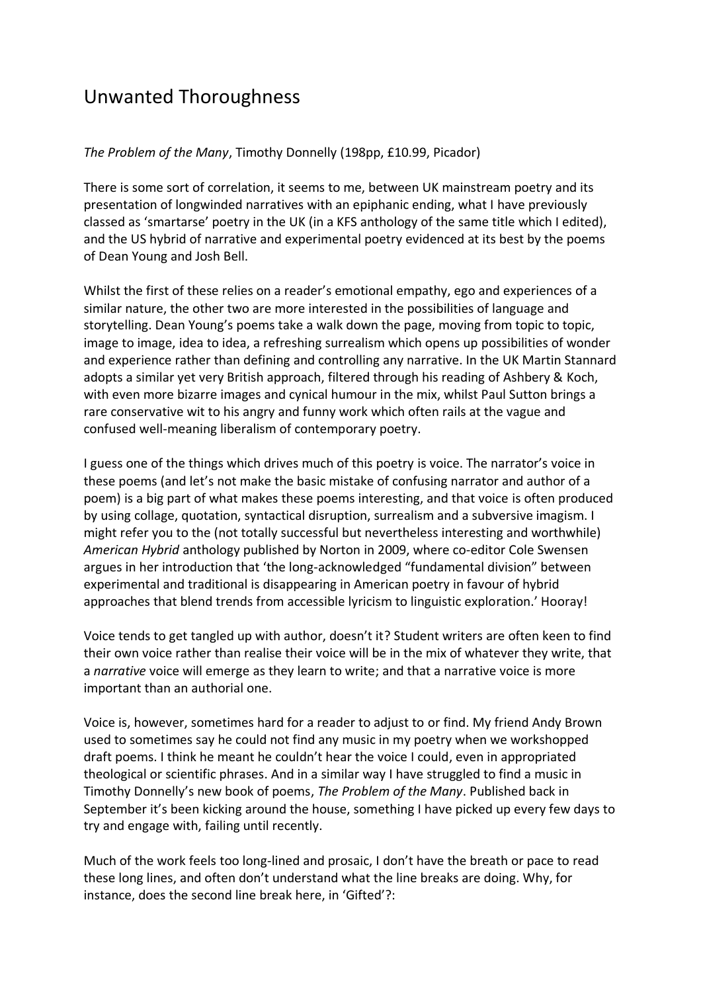## Unwanted Thoroughness

## *The Problem of the Many*, Timothy Donnelly (198pp, £10.99, Picador)

There is some sort of correlation, it seems to me, between UK mainstream poetry and its presentation of longwinded narratives with an epiphanic ending, what I have previously classed as 'smartarse' poetry in the UK (in a KFS anthology of the same title which I edited), and the US hybrid of narrative and experimental poetry evidenced at its best by the poems of Dean Young and Josh Bell.

Whilst the first of these relies on a reader's emotional empathy, ego and experiences of a similar nature, the other two are more interested in the possibilities of language and storytelling. Dean Young's poems take a walk down the page, moving from topic to topic, image to image, idea to idea, a refreshing surrealism which opens up possibilities of wonder and experience rather than defining and controlling any narrative. In the UK Martin Stannard adopts a similar yet very British approach, filtered through his reading of Ashbery & Koch, with even more bizarre images and cynical humour in the mix, whilst Paul Sutton brings a rare conservative wit to his angry and funny work which often rails at the vague and confused well-meaning liberalism of contemporary poetry.

I guess one of the things which drives much of this poetry is voice. The narrator's voice in these poems (and let's not make the basic mistake of confusing narrator and author of a poem) is a big part of what makes these poems interesting, and that voice is often produced by using collage, quotation, syntactical disruption, surrealism and a subversive imagism. I might refer you to the (not totally successful but nevertheless interesting and worthwhile) *American Hybrid* anthology published by Norton in 2009, where co-editor Cole Swensen argues in her introduction that 'the long-acknowledged "fundamental division" between experimental and traditional is disappearing in American poetry in favour of hybrid approaches that blend trends from accessible lyricism to linguistic exploration.' Hooray!

Voice tends to get tangled up with author, doesn't it? Student writers are often keen to find their own voice rather than realise their voice will be in the mix of whatever they write, that a *narrative* voice will emerge as they learn to write; and that a narrative voice is more important than an authorial one.

Voice is, however, sometimes hard for a reader to adjust to or find. My friend Andy Brown used to sometimes say he could not find any music in my poetry when we workshopped draft poems. I think he meant he couldn't hear the voice I could, even in appropriated theological or scientific phrases. And in a similar way I have struggled to find a music in Timothy Donnelly's new book of poems, *The Problem of the Many*. Published back in September it's been kicking around the house, something I have picked up every few days to try and engage with, failing until recently.

Much of the work feels too long-lined and prosaic, I don't have the breath or pace to read these long lines, and often don't understand what the line breaks are doing. Why, for instance, does the second line break here, in 'Gifted'?: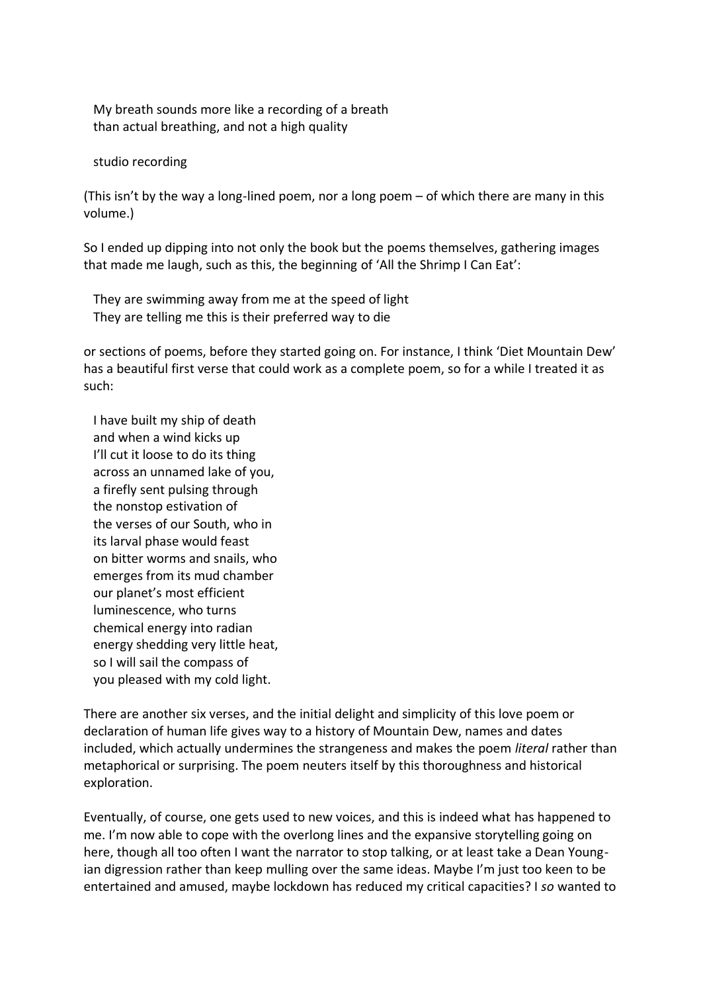My breath sounds more like a recording of a breath than actual breathing, and not a high quality

studio recording

(This isn't by the way a long-lined poem, nor a long poem – of which there are many in this volume.)

So I ended up dipping into not only the book but the poems themselves, gathering images that made me laugh, such as this, the beginning of 'All the Shrimp I Can Eat':

 They are swimming away from me at the speed of light They are telling me this is their preferred way to die

or sections of poems, before they started going on. For instance, I think 'Diet Mountain Dew' has a beautiful first verse that could work as a complete poem, so for a while I treated it as such:

 I have built my ship of death and when a wind kicks up I'll cut it loose to do its thing across an unnamed lake of you, a firefly sent pulsing through the nonstop estivation of the verses of our South, who in its larval phase would feast on bitter worms and snails, who emerges from its mud chamber our planet's most efficient luminescence, who turns chemical energy into radian energy shedding very little heat, so I will sail the compass of you pleased with my cold light.

There are another six verses, and the initial delight and simplicity of this love poem or declaration of human life gives way to a history of Mountain Dew, names and dates included, which actually undermines the strangeness and makes the poem *literal* rather than metaphorical or surprising. The poem neuters itself by this thoroughness and historical exploration.

Eventually, of course, one gets used to new voices, and this is indeed what has happened to me. I'm now able to cope with the overlong lines and the expansive storytelling going on here, though all too often I want the narrator to stop talking, or at least take a Dean Youngian digression rather than keep mulling over the same ideas. Maybe I'm just too keen to be entertained and amused, maybe lockdown has reduced my critical capacities? I *so* wanted to